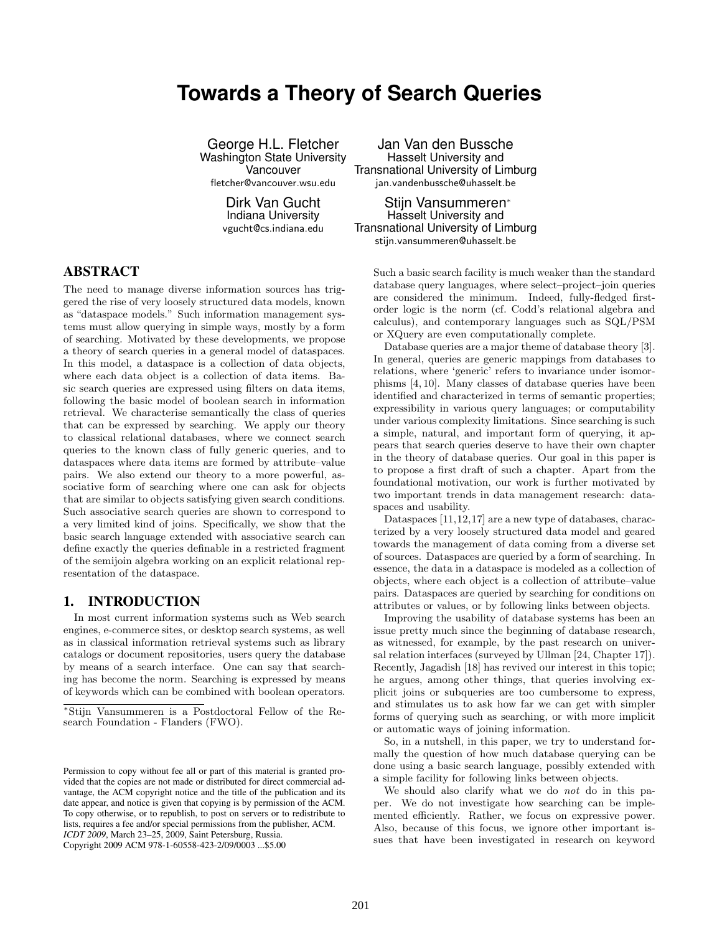# **Towards a Theory of Search Queries**

George H.L. Fletcher Washington State University Vancouver fletcher@vancouver.wsu.edu

> Dirk Van Gucht Indiana University

vgucht@cs.indiana.edu

Jan Van den Bussche Hasselt University and Transnational University of Limburg jan.vandenbussche@uhasselt.be

ABSTRACT

The need to manage diverse information sources has triggered the rise of very loosely structured data models, known as "dataspace models." Such information management systems must allow querying in simple ways, mostly by a form of searching. Motivated by these developments, we propose a theory of search queries in a general model of dataspaces. In this model, a dataspace is a collection of data objects, where each data object is a collection of data items. Basic search queries are expressed using filters on data items, following the basic model of boolean search in information retrieval. We characterise semantically the class of queries that can be expressed by searching. We apply our theory to classical relational databases, where we connect search queries to the known class of fully generic queries, and to dataspaces where data items are formed by attribute–value pairs. We also extend our theory to a more powerful, associative form of searching where one can ask for objects that are similar to objects satisfying given search conditions. Such associative search queries are shown to correspond to a very limited kind of joins. Specifically, we show that the basic search language extended with associative search can define exactly the queries definable in a restricted fragment of the semijoin algebra working on an explicit relational representation of the dataspace.

## 1. INTRODUCTION

In most current information systems such as Web search engines, e-commerce sites, or desktop search systems, as well as in classical information retrieval systems such as library catalogs or document repositories, users query the database by means of a search interface. One can say that searching has become the norm. Searching is expressed by means of keywords which can be combined with boolean operators.

Copyright 2009 ACM 978-1-60558-423-2/09/0003 ...\$5.00

Stijn Vansummeren<sup>∗</sup> Hasselt University and Transnational University of Limburg stijn.vansummeren@uhasselt.be

> Such a basic search facility is much weaker than the standard database query languages, where select–project–join queries are considered the minimum. Indeed, fully-fledged firstorder logic is the norm (cf. Codd's relational algebra and calculus), and contemporary languages such as SQL/PSM or XQuery are even computationally complete.

> Database queries are a major theme of database theory [3]. In general, queries are generic mappings from databases to relations, where 'generic' refers to invariance under isomorphisms [4, 10]. Many classes of database queries have been identified and characterized in terms of semantic properties; expressibility in various query languages; or computability under various complexity limitations. Since searching is such a simple, natural, and important form of querying, it appears that search queries deserve to have their own chapter in the theory of database queries. Our goal in this paper is to propose a first draft of such a chapter. Apart from the foundational motivation, our work is further motivated by two important trends in data management research: dataspaces and usability.

> Dataspaces [11,12,17] are a new type of databases, characterized by a very loosely structured data model and geared towards the management of data coming from a diverse set of sources. Dataspaces are queried by a form of searching. In essence, the data in a dataspace is modeled as a collection of objects, where each object is a collection of attribute–value pairs. Dataspaces are queried by searching for conditions on attributes or values, or by following links between objects.

> Improving the usability of database systems has been an issue pretty much since the beginning of database research, as witnessed, for example, by the past research on universal relation interfaces (surveyed by Ullman [24, Chapter 17]). Recently, Jagadish [18] has revived our interest in this topic; he argues, among other things, that queries involving explicit joins or subqueries are too cumbersome to express, and stimulates us to ask how far we can get with simpler forms of querying such as searching, or with more implicit or automatic ways of joining information.

> So, in a nutshell, in this paper, we try to understand formally the question of how much database querying can be done using a basic search language, possibly extended with a simple facility for following links between objects.

> We should also clarify what we do not do in this paper. We do not investigate how searching can be implemented efficiently. Rather, we focus on expressive power. Also, because of this focus, we ignore other important issues that have been investigated in research on keyword

<sup>∗</sup>Stijn Vansummeren is a Postdoctoral Fellow of the Research Foundation - Flanders (FWO).

Permission to copy without fee all or part of this material is granted provided that the copies are not made or distributed for direct commercial advantage, the ACM copyright notice and the title of the publication and its date appear, and notice is given that copying is by permission of the ACM. To copy otherwise, or to republish, to post on servers or to redistribute to lists, requires a fee and/or special permissions from the publisher, ACM. *ICDT 2009*, March 23–25, 2009, Saint Petersburg, Russia.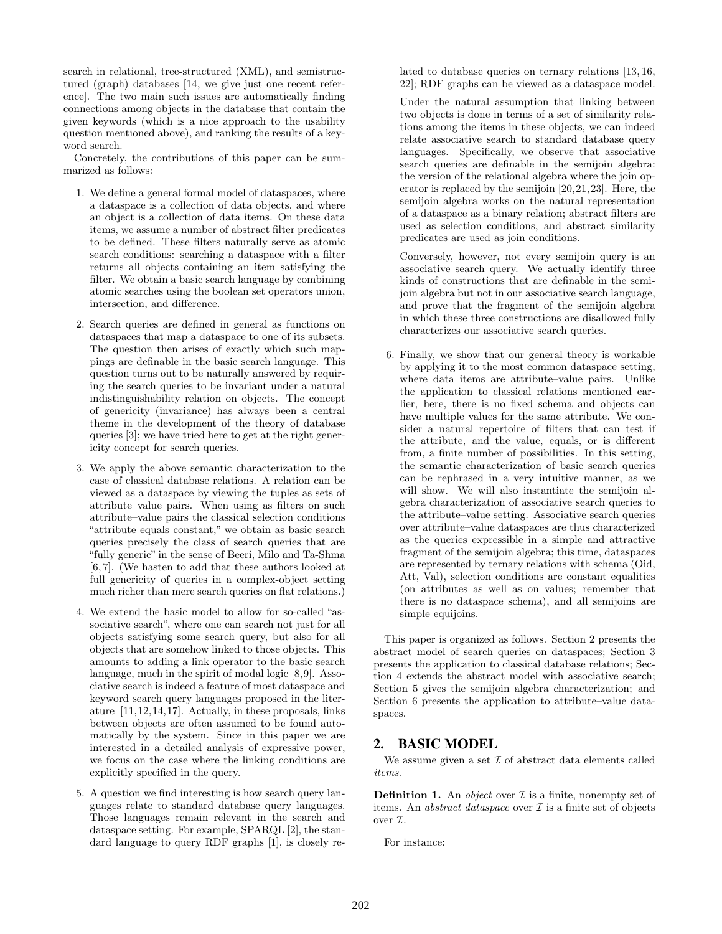search in relational, tree-structured (XML), and semistructured (graph) databases [14, we give just one recent reference]. The two main such issues are automatically finding connections among objects in the database that contain the given keywords (which is a nice approach to the usability question mentioned above), and ranking the results of a keyword search.

Concretely, the contributions of this paper can be summarized as follows:

- 1. We define a general formal model of dataspaces, where a dataspace is a collection of data objects, and where an object is a collection of data items. On these data items, we assume a number of abstract filter predicates to be defined. These filters naturally serve as atomic search conditions: searching a dataspace with a filter returns all objects containing an item satisfying the filter. We obtain a basic search language by combining atomic searches using the boolean set operators union, intersection, and difference.
- 2. Search queries are defined in general as functions on dataspaces that map a dataspace to one of its subsets. The question then arises of exactly which such mappings are definable in the basic search language. This question turns out to be naturally answered by requiring the search queries to be invariant under a natural indistinguishability relation on objects. The concept of genericity (invariance) has always been a central theme in the development of the theory of database queries [3]; we have tried here to get at the right genericity concept for search queries.
- 3. We apply the above semantic characterization to the case of classical database relations. A relation can be viewed as a dataspace by viewing the tuples as sets of attribute–value pairs. When using as filters on such attribute–value pairs the classical selection conditions "attribute equals constant," we obtain as basic search queries precisely the class of search queries that are "fully generic" in the sense of Beeri, Milo and Ta-Shma [6, 7]. (We hasten to add that these authors looked at full genericity of queries in a complex-object setting much richer than mere search queries on flat relations.)
- 4. We extend the basic model to allow for so-called "associative search", where one can search not just for all objects satisfying some search query, but also for all objects that are somehow linked to those objects. This amounts to adding a link operator to the basic search language, much in the spirit of modal logic [8,9]. Associative search is indeed a feature of most dataspace and keyword search query languages proposed in the literature [11,12,14,17]. Actually, in these proposals, links between objects are often assumed to be found automatically by the system. Since in this paper we are interested in a detailed analysis of expressive power, we focus on the case where the linking conditions are explicitly specified in the query.
- 5. A question we find interesting is how search query languages relate to standard database query languages. Those languages remain relevant in the search and dataspace setting. For example, SPARQL [2], the standard language to query RDF graphs [1], is closely re-

lated to database queries on ternary relations [13, 16, 22]; RDF graphs can be viewed as a dataspace model.

Under the natural assumption that linking between two objects is done in terms of a set of similarity relations among the items in these objects, we can indeed relate associative search to standard database query languages. Specifically, we observe that associative search queries are definable in the semijoin algebra: the version of the relational algebra where the join operator is replaced by the semijoin [20,21,23]. Here, the semijoin algebra works on the natural representation of a dataspace as a binary relation; abstract filters are used as selection conditions, and abstract similarity predicates are used as join conditions.

Conversely, however, not every semijoin query is an associative search query. We actually identify three kinds of constructions that are definable in the semijoin algebra but not in our associative search language, and prove that the fragment of the semijoin algebra in which these three constructions are disallowed fully characterizes our associative search queries.

6. Finally, we show that our general theory is workable by applying it to the most common dataspace setting, where data items are attribute–value pairs. Unlike the application to classical relations mentioned earlier, here, there is no fixed schema and objects can have multiple values for the same attribute. We consider a natural repertoire of filters that can test if the attribute, and the value, equals, or is different from, a finite number of possibilities. In this setting, the semantic characterization of basic search queries can be rephrased in a very intuitive manner, as we will show. We will also instantiate the semijoin algebra characterization of associative search queries to the attribute–value setting. Associative search queries over attribute–value dataspaces are thus characterized as the queries expressible in a simple and attractive fragment of the semijoin algebra; this time, dataspaces are represented by ternary relations with schema (Oid, Att, Val), selection conditions are constant equalities (on attributes as well as on values; remember that there is no dataspace schema), and all semijoins are simple equijoins.

This paper is organized as follows. Section 2 presents the abstract model of search queries on dataspaces; Section 3 presents the application to classical database relations; Section 4 extends the abstract model with associative search; Section 5 gives the semijoin algebra characterization; and Section 6 presents the application to attribute–value dataspaces.

## 2. BASIC MODEL

We assume given a set  $\mathcal I$  of abstract data elements called items.

**Definition 1.** An *object* over  $\mathcal I$  is a finite, nonempty set of items. An *abstract dataspace* over  $\mathcal I$  is a finite set of objects over I.

For instance: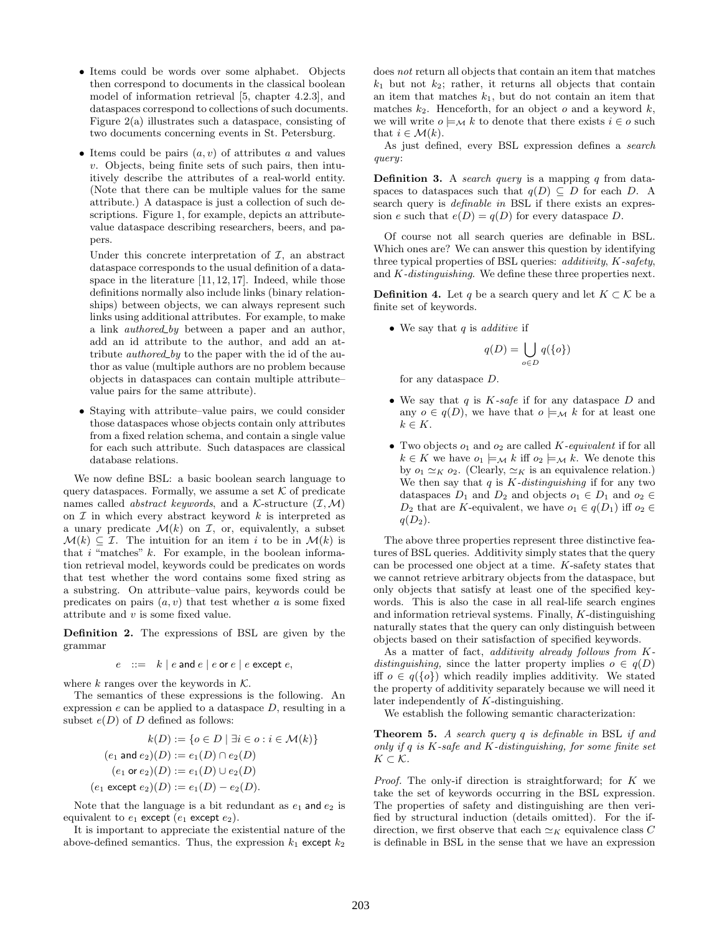- Items could be words over some alphabet. Objects then correspond to documents in the classical boolean model of information retrieval [5, chapter 4.2.3], and dataspaces correspond to collections of such documents. Figure 2(a) illustrates such a dataspace, consisting of two documents concerning events in St. Petersburg.
- Items could be pairs  $(a, v)$  of attributes a and values  $v$ . Objects, being finite sets of such pairs, then intuitively describe the attributes of a real-world entity. (Note that there can be multiple values for the same attribute.) A dataspace is just a collection of such descriptions. Figure 1, for example, depicts an attributevalue dataspace describing researchers, beers, and papers.

Under this concrete interpretation of  $I$ , an abstract dataspace corresponds to the usual definition of a dataspace in the literature [11, 12, 17]. Indeed, while those definitions normally also include links (binary relationships) between objects, we can always represent such links using additional attributes. For example, to make a link *authored by* between a paper and an author, add an id attribute to the author, and add an attribute *authored by* to the paper with the id of the author as value (multiple authors are no problem because objects in dataspaces can contain multiple attribute– value pairs for the same attribute).

• Staying with attribute–value pairs, we could consider those dataspaces whose objects contain only attributes from a fixed relation schema, and contain a single value for each such attribute. Such dataspaces are classical database relations.

We now define BSL: a basic boolean search language to query dataspaces. Formally, we assume a set  $K$  of predicate names called *abstract keywords*, and a K-structure  $(\mathcal{I}, \mathcal{M})$ on  $\mathcal I$  in which every abstract keyword k is interpreted as a unary predicate  $\mathcal{M}(k)$  on  $\mathcal{I}$ , or, equivalently, a subset  $\mathcal{M}(k) \subset \mathcal{I}$ . The intuition for an item i to be in  $\mathcal{M}(k)$  is that  $i$  "matches"  $k$ . For example, in the boolean information retrieval model, keywords could be predicates on words that test whether the word contains some fixed string as a substring. On attribute–value pairs, keywords could be predicates on pairs  $(a, v)$  that test whether a is some fixed attribute and  $v$  is some fixed value.

Definition 2. The expressions of BSL are given by the grammar

$$
e ::= k | e \text{ and } e | e \text{ or } e | e \text{ except } e,
$$

where k ranges over the keywords in  $K$ .

The semantics of these expressions is the following. An expression  $e$  can be applied to a dataspace  $D$ , resulting in a subset  $e(D)$  of D defined as follows:

$$
k(D) := \{o \in D \mid \exists i \in o : i \in \mathcal{M}(k)\}
$$
  
( $e_1$  and  $e_2$ )( $D$ ) :=  $e_1(D) \cap e_2(D)$   
( $e_1$  or  $e_2$ )( $D$ ) :=  $e_1(D) \cup e_2(D)$   
( $e_1$  except  $e_2$ )( $D$ ) :=  $e_1(D) - e_2(D)$ .

Note that the language is a bit redundant as  $e_1$  and  $e_2$  is equivalent to  $e_1$  except  $(e_1$  except  $e_2$ ).

It is important to appreciate the existential nature of the above-defined semantics. Thus, the expression  $k_1$  except  $k_2$ 

does not return all objects that contain an item that matches  $k_1$  but not  $k_2$ ; rather, it returns all objects that contain an item that matches  $k_1$ , but do not contain an item that matches  $k_2$ . Henceforth, for an object o and a keyword k, we will write  $o \models_{\mathcal{M}} k$  to denote that there exists  $i \in o$  such that  $i \in \mathcal{M}(k)$ .

As just defined, every BSL expression defines a search query:

**Definition 3.** A search query is a mapping  $q$  from dataspaces to dataspaces such that  $q(D) \subseteq D$  for each D. A search query is *definable in* BSL if there exists an expression e such that  $e(D) = q(D)$  for every dataspace D.

Of course not all search queries are definable in BSL. Which ones are? We can answer this question by identifying three typical properties of BSL queries: additivity, K-safety, and K-distinguishing. We define these three properties next.

**Definition 4.** Let q be a search query and let  $K \subset \mathcal{K}$  be a finite set of keywords.

• We say that  $q$  is *additive* if

$$
q(D) = \bigcup_{o \in D} q(\{o\})
$$

for any dataspace D.

- We say that  $q$  is  $K\text{-}safe$  if for any dataspace  $D$  and any  $o \in q(D)$ , we have that  $o \models_{\mathcal{M}} k$  for at least one  $k \in K$ .
- Two objects  $o_1$  and  $o_2$  are called K-equivalent if for all  $k \in K$  we have  $o_1 \models_{\mathcal{M}} k$  iff  $o_2 \models_{\mathcal{M}} k$ . We denote this by  $o_1 \simeq_K o_2$ . (Clearly,  $\simeq_K$  is an equivalence relation.) We then say that  $q$  is  $K$ -distinguishing if for any two dataspaces  $D_1$  and  $D_2$  and objects  $o_1 \in D_1$  and  $o_2 \in$  $D_2$  that are K-equivalent, we have  $o_1 \in q(D_1)$  iff  $o_2 \in$  $q(D_2)$ .

The above three properties represent three distinctive features of BSL queries. Additivity simply states that the query can be processed one object at a time. K-safety states that we cannot retrieve arbitrary objects from the dataspace, but only objects that satisfy at least one of the specified keywords. This is also the case in all real-life search engines and information retrieval systems. Finally, K-distinguishing naturally states that the query can only distinguish between objects based on their satisfaction of specified keywords.

As a matter of fact, additivity already follows from Kdistinguishing, since the latter property implies  $o \in q(D)$ iff  $o \in q({o})$  which readily implies additivity. We stated the property of additivity separately because we will need it later independently of K-distinguishing.

We establish the following semantic characterization:

Theorem 5. A search query q is definable in BSL if and only if  $q$  is  $K$ -safe and  $K$ -distinguishing, for some finite set  $K \subset \mathcal{K}$ .

Proof. The only-if direction is straightforward; for K we take the set of keywords occurring in the BSL expression. The properties of safety and distinguishing are then verified by structural induction (details omitted). For the ifdirection, we first observe that each  $\simeq_K$  equivalence class C is definable in BSL in the sense that we have an expression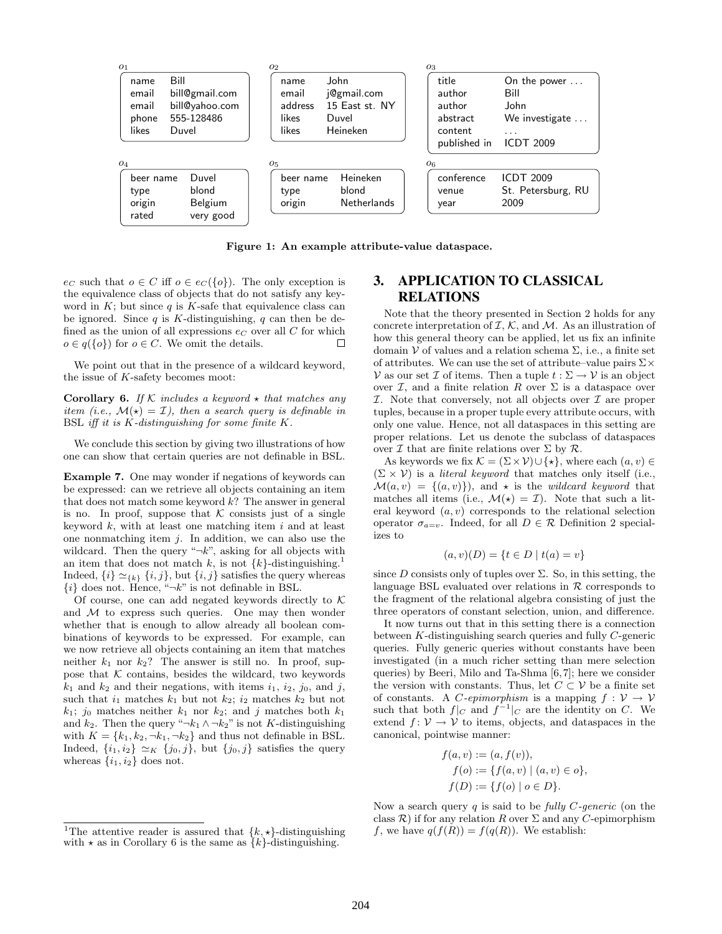

Figure 1: An example attribute-value dataspace.

 $e_C$  such that  $o \in C$  iff  $o \in e_C({o})$ . The only exception is the equivalence class of objects that do not satisfy any keyword in  $K$ ; but since  $q$  is  $K$ -safe that equivalence class can be ignored. Since  $q$  is K-distinguishing,  $q$  can then be defined as the union of all expressions  $e_C$  over all  $C$  for which  $o \in q({o})$  for  $o \in C$ . We omit the details.  $\Box$ 

We point out that in the presence of a wildcard keyword, the issue of  $K$ -safety becomes moot:

**Corollary 6.** If K includes a keyword  $\star$  that matches any item (i.e.,  $\mathcal{M}(\star) = \mathcal{I}$ ), then a search query is definable in BSL iff it is  $K$ -distinguishing for some finite  $K$ .

We conclude this section by giving two illustrations of how one can show that certain queries are not definable in BSL.

Example 7. One may wonder if negations of keywords can be expressed: can we retrieve all objects containing an item that does not match some keyword  $k$ ? The answer in general is no. In proof, suppose that  $K$  consists just of a single keyword  $k$ , with at least one matching item  $i$  and at least one nonmatching item  $j$ . In addition, we can also use the wildcard. Then the query " $\neg k$ ", asking for all objects with an item that does not match k, is not  $\{k\}$ -distinguishing.<sup>1</sup> Indeed,  $\{i\} \simeq_{\{k\}} \{i, j\}$ , but  $\{i, j\}$  satisfies the query whereas  $\{i\}$  does not. Hence, " $\neg k$ " is not definable in BSL.

Of course, one can add negated keywords directly to  $K$ and  $M$  to express such queries. One may then wonder whether that is enough to allow already all boolean combinations of keywords to be expressed. For example, can we now retrieve all objects containing an item that matches neither  $k_1$  nor  $k_2$ ? The answer is still no. In proof, suppose that  $K$  contains, besides the wildcard, two keywords  $k_1$  and  $k_2$  and their negations, with items  $i_1$ ,  $i_2$ ,  $j_0$ , and  $j$ , such that  $i_1$  matches  $k_1$  but not  $k_2$ ;  $i_2$  matches  $k_2$  but not  $k_1$ ; j<sub>0</sub> matches neither  $k_1$  nor  $k_2$ ; and j matches both  $k_1$ and  $k_2$ . Then the query " $\neg k_1 \wedge \neg k_2$ " is not K-distinguishing with  $K = \{k_1, k_2, \neg k_1, \neg k_2\}$  and thus not definable in BSL. Indeed,  $\{i_1, i_2\} \simeq_K \{j_0, j\}$ , but  $\{j_0, j\}$  satisfies the query whereas  $\{i_1, i_2\}$  does not.

## 3. APPLICATION TO CLASSICAL RELATIONS

Note that the theory presented in Section 2 holds for any concrete interpretation of  $\mathcal{I}, \mathcal{K}$ , and  $\mathcal{M}$ . As an illustration of how this general theory can be applied, let us fix an infinite domain  $V$  of values and a relation schema  $\Sigma$ , i.e., a finite set of attributes. We can use the set of attribute–value pairs  $\Sigma \times$ V as our set  $\mathcal I$  of items. Then a tuple  $t : \Sigma \to \mathcal V$  is an object over  $\mathcal{I}$ , and a finite relation R over  $\Sigma$  is a dataspace over  $I$ . Note that conversely, not all objects over  $I$  are proper tuples, because in a proper tuple every attribute occurs, with only one value. Hence, not all dataspaces in this setting are proper relations. Let us denote the subclass of dataspaces over  $\mathcal I$  that are finite relations over  $\Sigma$  by  $\mathcal R$ .

As keywords we fix  $\mathcal{K} = (\Sigma \times \mathcal{V}) \cup \{ \star \},$  where each  $(a, v) \in$  $(\Sigma \times V)$  is a *literal keyword* that matches only itself (i.e.,  $\mathcal{M}(a, v) = \{(a, v)\}\)$ , and  $\star$  is the *wildcard keyword* that matches all items (i.e.,  $\mathcal{M}(\star) = \mathcal{I}$ ). Note that such a literal keyword  $(a, v)$  corresponds to the relational selection operator  $\sigma_{a=v}$ . Indeed, for all  $D \in \mathcal{R}$  Definition 2 specializes to

$$
(a, v)(D) = \{t \in D \mid t(a) = v\}
$$

since  $D$  consists only of tuples over  $\Sigma$ . So, in this setting, the language BSL evaluated over relations in  $R$  corresponds to the fragment of the relational algebra consisting of just the three operators of constant selection, union, and difference.

It now turns out that in this setting there is a connection between K-distinguishing search queries and fully C-generic queries. Fully generic queries without constants have been investigated (in a much richer setting than mere selection queries) by Beeri, Milo and Ta-Shma [6,7]; here we consider the version with constants. Thus, let  $C \subset V$  be a finite set of constants. A C-epimorphism is a mapping  $f: V \to V$ such that both  $f|_C$  and  $f^{-1}|_C$  are the identity on C. We extend  $f: V \to V$  to items, objects, and dataspaces in the canonical, pointwise manner:

$$
f(a, v) := (a, f(v)),
$$
  
\n
$$
f(o) := \{ f(a, v) \mid (a, v) \in o \},
$$
  
\n
$$
f(D) := \{ f(o) \mid o \in D \}.
$$

Now a search query q is said to be fully  $C$ -generic (on the class  $\mathcal{R}$ ) if for any relation R over  $\Sigma$  and any C-epimorphism f, we have  $q(f(R)) = f(q(R))$ . We establish:

<sup>&</sup>lt;sup>1</sup>The attentive reader is assured that  $\{k, \star\}$ -distinguishing with  $\star$  as in Corollary 6 is the same as  $\{k\}$ -distinguishing.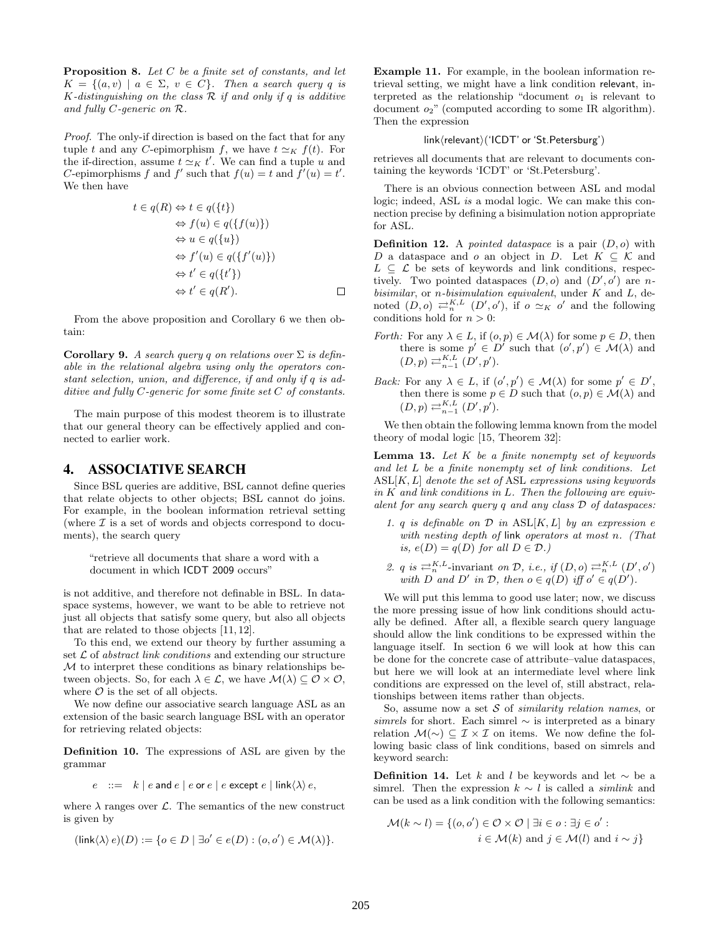**Proposition 8.** Let  $C$  be a finite set of constants, and let  $K = \{(a, v) \mid a \in \Sigma, v \in C\}$ . Then a search query q is K-distinguishing on the class  $\mathcal R$  if and only if q is additive and fully C-generic on R.

Proof. The only-if direction is based on the fact that for any tuple t and any C-epimorphism f, we have  $t \simeq_K f(t)$ . For the if-direction, assume  $t \simeq_K t'$ . We can find a tuple u and C-epimorphisms f and f' such that  $f(u) = t$  and  $f'(u) = t'$ . We then have

$$
t \in q(R) \Leftrightarrow t \in q(\lbrace t \rbrace)
$$
  
\n
$$
\Leftrightarrow f(u) \in q(\lbrace f(u) \rbrace)
$$
  
\n
$$
\Leftrightarrow u \in q(\lbrace u \rbrace)
$$
  
\n
$$
\Leftrightarrow f'(u) \in q(\lbrace f'(u) \rbrace)
$$
  
\n
$$
\Leftrightarrow t' \in q(\lbrace t' \rbrace)
$$
  
\n
$$
\Leftrightarrow t' \in q(R').
$$

From the above proposition and Corollary 6 we then obtain:

Corollary 9. A search query q on relations over  $\Sigma$  is definable in the relational algebra using only the operators constant selection, union, and difference, if and only if q is additive and fully C-generic for some finite set C of constants.

The main purpose of this modest theorem is to illustrate that our general theory can be effectively applied and connected to earlier work.

#### 4. ASSOCIATIVE SEARCH

Since BSL queries are additive, BSL cannot define queries that relate objects to other objects; BSL cannot do joins. For example, in the boolean information retrieval setting (where  $\mathcal I$  is a set of words and objects correspond to documents), the search query

"retrieve all documents that share a word with a document in which ICDT 2009 occurs"

is not additive, and therefore not definable in BSL. In dataspace systems, however, we want to be able to retrieve not just all objects that satisfy some query, but also all objects that are related to those objects [11, 12].

To this end, we extend our theory by further assuming a set  $\mathcal L$  of abstract link conditions and extending our structure M to interpret these conditions as binary relationships between objects. So, for each  $\lambda \in \mathcal{L}$ , we have  $\mathcal{M}(\lambda) \subseteq \mathcal{O} \times \mathcal{O}$ , where  $\mathcal O$  is the set of all objects.

We now define our associative search language ASL as an extension of the basic search language BSL with an operator for retrieving related objects:

Definition 10. The expressions of ASL are given by the grammar

$$
e ::= k | e
$$
 and  $e | e$  or  $e | e$  except  $e | link  $\langle \lambda \rangle e$ ,$ 

where  $\lambda$  ranges over  $\mathcal{L}$ . The semantics of the new construct is given by

$$
(\mathsf{link}\langle \lambda \rangle e)(D) := \{ o \in D \mid \exists o' \in e(D) : (o, o') \in \mathcal{M}(\lambda) \}.
$$

Example 11. For example, in the boolean information retrieval setting, we might have a link condition relevant, interpreted as the relationship "document  $o_1$  is relevant to document  $o_2$ " (computed according to some IR algorithm). Then the expression

#### link/relevant)('ICDT' or 'St.Petersburg')

retrieves all documents that are relevant to documents containing the keywords 'ICDT' or 'St.Petersburg'.

There is an obvious connection between ASL and modal logic; indeed, ASL is a modal logic. We can make this connection precise by defining a bisimulation notion appropriate for ASL.

**Definition 12.** A *pointed dataspace* is a pair  $(D, o)$  with D a dataspace and o an object in D. Let  $K \subseteq \mathcal{K}$  and  $L \subseteq \mathcal{L}$  be sets of keywords and link conditions, respectively. Two pointed dataspaces  $(D, o)$  and  $(D', o')$  are nbisimilar, or *n*-bisimulation equivalent, under  $K$  and  $L$ , denoted  $(D, o) \rightleftarrows_{n}^{K, L} (D', o')$ , if  $o \simeq_K o'$  and the following conditions hold for  $n > 0$ :

- *Forth:* For any  $\lambda \in L$ , if  $(o, p) \in \mathcal{M}(\lambda)$  for some  $p \in D$ , then there is some  $p' \in D'$  such that  $(o', p') \in \mathcal{M}(\lambda)$  and  $(D, p) \rightleftarrows_{n-1}^{K, L} (D', p').$
- Back: For any  $\lambda \in L$ , if  $(o', p') \in \mathcal{M}(\lambda)$  for some  $p' \in D'$ , then there is some  $p \in D$  such that  $(o, p) \in \mathcal{M}(\lambda)$  and  $(D, p) \rightleftarrows_{n-1}^{K, L} (D', p').$

We then obtain the following lemma known from the model theory of modal logic [15, Theorem 32]:

**Lemma 13.** Let  $K$  be a finite nonempty set of keywords and let L be a finite nonempty set of link conditions. Let  $ASL[K, L]$  denote the set of ASL expressions using keywords in  $K$  and link conditions in  $L$ . Then the following are equivalent for any search query q and any class D of dataspaces:

- 1. q is definable on  $\mathcal D$  in  $ASL[K, L]$  by an expression e with nesting depth of link operators at most n. (That is,  $e(D) = q(D)$  for all  $D \in \mathcal{D}$ .
- 2. q is  $\rightleftharpoons^{K,L}_{n}$ -invariant on D, i.e., if  $(D, o) \rightleftharpoons^{K,L}_{n} (D', o')$ with D and D' in D, then  $o \in q(D)$  iff  $o' \in q(D')$ .

We will put this lemma to good use later; now, we discuss the more pressing issue of how link conditions should actually be defined. After all, a flexible search query language should allow the link conditions to be expressed within the language itself. In section 6 we will look at how this can be done for the concrete case of attribute–value dataspaces, but here we will look at an intermediate level where link conditions are expressed on the level of, still abstract, relationships between items rather than objects.

So, assume now a set  $S$  of *similarity relation names*, or simrels for short. Each simrel  $\sim$  is interpreted as a binary relation  $\mathcal{M}(\sim)$  ⊆  $\mathcal{I} \times \mathcal{I}$  on items. We now define the following basic class of link conditions, based on simrels and keyword search:

**Definition 14.** Let k and l be keywords and let  $\sim$  be a simrel. Then the expression  $k \sim l$  is called a *simlink* and can be used as a link condition with the following semantics:

$$
\mathcal{M}(k \sim l) = \{ (o, o') \in \mathcal{O} \times \mathcal{O} \mid \exists i \in o : \exists j \in o' : i \in \mathcal{M}(k) \text{ and } j \in \mathcal{M}(l) \text{ and } i \sim j \}
$$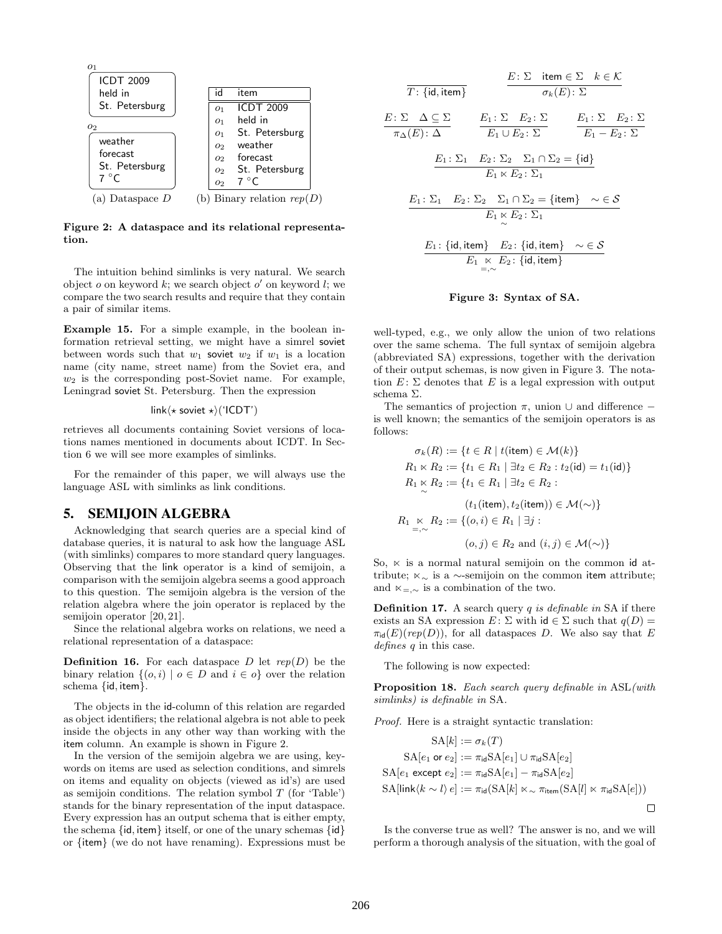

Figure 2: A dataspace and its relational representation.

The intuition behind simlinks is very natural. We search object  $o$  on keyword  $k$ ; we search object  $o'$  on keyword  $l$ ; we compare the two search results and require that they contain a pair of similar items.

Example 15. For a simple example, in the boolean information retrieval setting, we might have a simrel soviet between words such that  $w_1$  soviet  $w_2$  if  $w_1$  is a location name (city name, street name) from the Soviet era, and  $w_2$  is the corresponding post-Soviet name. For example, Leningrad soviet St. Petersburg. Then the expression

$$
link \langle \star \text{ soviet } \star \rangle ('ICDT')
$$

retrieves all documents containing Soviet versions of locations names mentioned in documents about ICDT. In Section 6 we will see more examples of simlinks.

For the remainder of this paper, we will always use the language ASL with simlinks as link conditions.

## 5. SEMIJOIN ALGEBRA

Acknowledging that search queries are a special kind of database queries, it is natural to ask how the language ASL (with simlinks) compares to more standard query languages. Observing that the link operator is a kind of semijoin, a comparison with the semijoin algebra seems a good approach to this question. The semijoin algebra is the version of the relation algebra where the join operator is replaced by the semijoin operator [20, 21].

Since the relational algebra works on relations, we need a relational representation of a dataspace:

**Definition 16.** For each dataspace D let  $rep(D)$  be the binary relation  $\{(o, i) | o \in D \text{ and } i \in o\}$  over the relation schema {id, item}.

The objects in the id-column of this relation are regarded as object identifiers; the relational algebra is not able to peek inside the objects in any other way than working with the item column. An example is shown in Figure 2.

In the version of the semijoin algebra we are using, keywords on items are used as selection conditions, and simrels on items and equality on objects (viewed as id's) are used as semijoin conditions. The relation symbol  $T$  (for 'Table') stands for the binary representation of the input dataspace. Every expression has an output schema that is either empty, the schema  $\{id, item\}$  itself, or one of the unary schemas  $\{id\}$ or {item} (we do not have renaming). Expressions must be

$$
\frac{E: \Sigma \text{ item } \in \Sigma \quad k \in \mathcal{K}}{\sigma_k(E): \Sigma}
$$
\n
$$
\frac{E: \Sigma \quad \Delta \subseteq \Sigma}{\pi_{\Delta}(E): \Delta} \qquad \frac{E_1: \Sigma \quad E_2: \Sigma}{E_1 \cup E_2: \Sigma} \qquad \frac{E_1: \Sigma \quad E_2: \Sigma}{E_1 - E_2: \Sigma}
$$
\n
$$
\frac{E_1: \Sigma_1 \quad E_2: \Sigma_2 \quad \Sigma_1 \cap \Sigma_2 = \{id\}}{E_1 \times E_2: \Sigma_1}
$$
\n
$$
\frac{E_1: \Sigma_1 \quad E_2: \Sigma_2 \quad \Sigma_1 \cap \Sigma_2 = \{item\} \quad \sim \in \mathcal{S}}{E_1 \times E_2: \Sigma_1}
$$
\n
$$
\frac{E_1: \{id, item\} \quad E_2: \{id, item\} \quad \sim \in \mathcal{S}}{E_1 \times E_2: \{id, item\}}
$$

#### Figure 3: Syntax of SA.

=,∼

well-typed, e.g., we only allow the union of two relations over the same schema. The full syntax of semijoin algebra (abbreviated SA) expressions, together with the derivation of their output schemas, is now given in Figure 3. The notation  $E: \Sigma$  denotes that E is a legal expression with output schema Σ.

The semantics of projection  $\pi$ , union  $\cup$  and difference – is well known; the semantics of the semijoin operators is as follows:

$$
\sigma_k(R) := \{ t \in R \mid t(\text{item}) \in \mathcal{M}(k) \}
$$
  
\n
$$
R_1 \ltimes R_2 := \{ t_1 \in R_1 \mid \exists t_2 \in R_2 : t_2(\text{id}) = t_1(\text{id}) \}
$$
  
\n
$$
R_1 \ltimes R_2 := \{ t_1 \in R_1 \mid \exists t_2 \in R_2 :
$$
  
\n
$$
(t_1(\text{item}), t_2(\text{item})) \in \mathcal{M}(\sim) \}
$$
  
\n
$$
R_1 \ltimes R_2 := \{ (o, i) \in R_1 \mid \exists j :
$$
  
\n
$$
(o, j) \in R_2 \text{ and } (i, j) \in \mathcal{M}(\sim) \}
$$

So,  $\ltimes$  is a normal natural semijoin on the common id attribute;  $\ltimes_{\sim}$  is a ∼-semijoin on the common item attribute; and  $\ltimes_{-\sim}$  is a combination of the two.

**Definition 17.** A search query  $q$  is definable in SA if there exists an SA expression  $E: \Sigma$  with  $id \in \Sigma$  such that  $q(D)$  =  $\pi_{\text{id}}(E)(rep(D)),$  for all dataspaces D. We also say that E defines q in this case.

The following is now expected:

Proposition 18. Each search query definable in ASL(with simlinks) is definable in SA.

Proof. Here is a straight syntactic translation:

$$
SA[k] := \sigma_k(T)
$$
  
\n
$$
SA[e_1 \text{ or } e_2] := \pi_{id}SA[e_1] \cup \pi_{id}SA[e_2]
$$
  
\n
$$
SA[e_1 \text{ except } e_2] := \pi_{id}SA[e_1] - \pi_{id}SA[e_2]
$$
  
\n
$$
SA[link\langle k \sim l \rangle e] := \pi_{id}(SA[k] \ltimes \pi_{item}(SA[l] \ltimes \pi_{id}SA[e]))
$$

Is the converse true as well? The answer is no, and we will perform a thorough analysis of the situation, with the goal of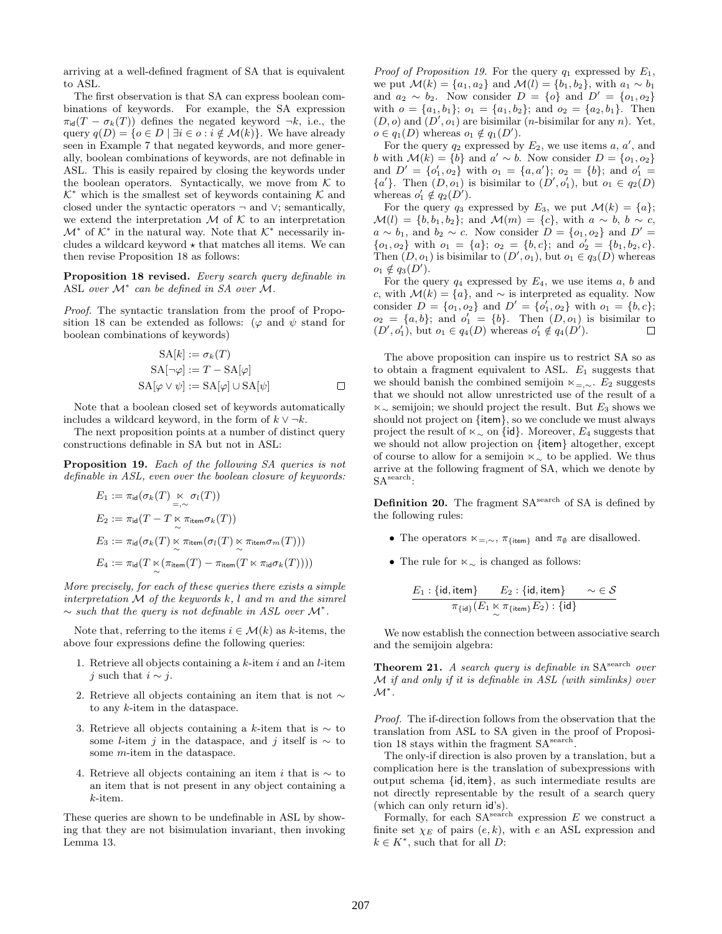arriving at a well-defined fragment of SA that is equivalent to ASL.

The first observation is that SA can express boolean combinations of keywords. For example, the SA expression  $\pi_{\text{id}}(T - \sigma_k(T))$  defines the negated keyword  $\neg k$ , i.e., the query  $q(D) = \{o \in D \mid \exists i \in o : i \notin \mathcal{M}(k)\}\)$ . We have already seen in Example 7 that negated keywords, and more generally, boolean combinations of keywords, are not definable in ASL. This is easily repaired by closing the keywords under the boolean operators. Syntactically, we move from  $K$  to  $K^*$  which is the smallest set of keywords containing  $K$  and closed under the syntactic operators  $\neg$  and  $\vee$ ; semantically, we extend the interpretation  $\mathcal M$  of  $\mathcal K$  to an interpretation  $\mathcal{M}^*$  of  $\mathcal{K}^*$  in the natural way. Note that  $\mathcal{K}^*$  necessarily includes a wildcard keyword  $\star$  that matches all items. We can then revise Proposition 18 as follows:

Proposition 18 revised. Every search query definable in ASL over  $\mathcal{M}^*$  can be defined in SA over M.

Proof. The syntactic translation from the proof of Proposition 18 can be extended as follows: ( $\varphi$  and  $\psi$  stand for boolean combinations of keywords)

$$
SA[k] := \sigma_k(T)
$$
  
\n
$$
SA[\neg \varphi] := T - SA[\varphi]
$$
  
\n
$$
SA[\varphi \lor \psi] := SA[\varphi] \cup SA[\psi]
$$

Note that a boolean closed set of keywords automatically includes a wildcard keyword, in the form of  $k \vee \neg k$ .

The next proposition points at a number of distinct query constructions definable in SA but not in ASL:

Proposition 19. Each of the following SA queries is not definable in ASL, even over the boolean closure of keywords:

$$
E_1 := \pi_{\text{id}}(\sigma_k(T) \underset{=\sim}{\ltimes} \sigma_l(T))
$$
  
\n
$$
E_2 := \pi_{\text{id}}(T - T \underset{\sim}{\ltimes} \pi_{\text{item}} \sigma_k(T))
$$
  
\n
$$
E_3 := \pi_{\text{id}}(\sigma_k(T) \underset{\sim}{\ltimes} \pi_{\text{item}}(\sigma_l(T) \underset{\sim}{\ltimes} \pi_{\text{item}} \sigma_m(T)))
$$
  
\n
$$
E_4 := \pi_{\text{id}}(T \underset{\sim}{\ltimes} (\pi_{\text{item}}(T) - \pi_{\text{item}}(T \times \pi_{\text{id}} \sigma_k(T))))
$$

More precisely, for each of these queries there exists a simple interpretation  $M$  of the keywords  $k$ , l and  $m$  and the simrel  $\sim$  such that the query is not definable in ASL over  $\mathcal{M}^*$ .

Note that, referring to the items  $i \in \mathcal{M}(k)$  as k-items, the above four expressions define the following queries:

- 1. Retrieve all objects containing a  $k$ -item i and an l-item j such that  $i \sim j$ .
- 2. Retrieve all objects containing an item that is not ∼ to any k-item in the dataspace.
- 3. Retrieve all objects containing a k-item that is  $\sim$  to some *l*-item j in the dataspace, and j itself is  $\sim$  to some m-item in the dataspace.
- 4. Retrieve all objects containing an item i that is  $\sim$  to an item that is not present in any object containing a k-item.

These queries are shown to be undefinable in ASL by showing that they are not bisimulation invariant, then invoking Lemma 13.

*Proof of Proposition 19.* For the query  $q_1$  expressed by  $E_1$ , we put  $\mathcal{M}(k) = \{a_1, a_2\}$  and  $\mathcal{M}(l) = \{b_1, b_2\}$ , with  $a_1 \sim b_1$ and  $a_2 \sim b_2$ . Now consider  $D = \{o\}$  and  $D' = \{o_1, o_2\}$ with  $o = \{a_1, b_1\}; o_1 = \{a_1, b_2\};$  and  $o_2 = \{a_2, b_1\}.$  Then  $(D, o)$  and  $(D', o_1)$  are bisimilar (*n*-bisimilar for any *n*). Yet,  $o \in q_1(D)$  whereas  $o_1 \notin q_1(D')$ .

For the query  $q_2$  expressed by  $E_2$ , we use items  $a, a'$ , and b with  $\mathcal{M}(k) = \{b\}$  and  $a' \sim b$ . Now consider  $D = \{o_1, o_2\}$ and  $D' = \{o'_1, o_2\}$  with  $o_1 = \{a, a'\}; o_2 = \{b\};$  and  $o'_1 =$  $\{a'\}.$  Then  $(D, o_1)$  is bisimilar to  $(D', o'_1)$ , but  $o_1 \in q_2(D)$ whereas  $o'_1 \notin q_2(D')$ .

For the query  $q_3$  expressed by  $E_3$ , we put  $\mathcal{M}(k) = \{a\};$  $\mathcal{M}(l) = \{b, b_1, b_2\};$  and  $\mathcal{M}(m) = \{c\}$ , with  $a \sim b$ ,  $b \sim c$ ,  $a \sim b_1$ , and  $b_2 \sim c$ . Now consider  $D = \{o_1, o_2\}$  and  $D' =$  ${o_1, o_2}$  with  $o_1 = {a}$ ;  $o_2 = {b, c}$ ; and  $o'_2 = {b_1, b_2, c}$ . Then  $(D, o_1)$  is bisimilar to  $(D', o_1)$ , but  $o_1 \in q_3(D)$  whereas  $o_1 \notin q_3(D').$ 

For the query  $q_4$  expressed by  $E_4$ , we use items  $a, b$  and c, with  $\mathcal{M}(k) = \{a\}$ , and  $\sim$  is interpreted as equality. Now consider  $D = \{o_1, o_2\}$  and  $D' = \{o'_1, o_2\}$  with  $o_1 = \{b, c\};$  $o_2 = \{a, b\};$  and  $o'_1 = \{b\}.$  Then  $(D, o_1)$  is bisimilar to  $(D', o'_1)$ , but  $o_1 \in q_4(D)$  whereas  $o'_1 \notin q_4(D')$ .  $\Box$ 

The above proposition can inspire us to restrict SA so as to obtain a fragment equivalent to ASL.  $E_1$  suggests that we should banish the combined semijoin  $\ltimes_{-\sim}$ . E<sub>2</sub> suggests that we should not allow unrestricted use of the result of a  $\kappa_{\sim}$  semijoin; we should project the result. But  $E_3$  shows we should not project on {item}, so we conclude we must always project the result of  $\ltimes_{\sim}$  on {id}. Moreover,  $E_4$  suggests that we should not allow projection on {item} altogether, except of course to allow for a semijoin $\ltimes\sim$  to be applied. We thus arrive at the following fragment of SA, which we denote by SA<sup>search</sup>:

**Definition 20.** The fragment  $SA^{search}$  of  $SA$  is defined by the following rules:

- The operators  $\kappa_{=,\sim}$ ,  $\pi_{\{\text{item}\}}$  and  $\pi_{\emptyset}$  are disallowed.
- The rule for  $\ltimes_{\sim}$  is changed as follows:

$$
\frac{E_1: \{\mathsf{id}, \mathsf{item}\} \qquad E_2: \{\mathsf{id}, \mathsf{item}\} \qquad \sim \in \mathcal{S}}{\pi_{\{\mathsf{id}\}}(E_1 \underset{\sim}{\ltimes} \pi_{\{\mathsf{item}\}} E_2): \{\mathsf{id}\}}
$$

We now establish the connection between associative search and the semijoin algebra:

**Theorem 21.** A search query is definable in  $SA^{search}$  over M if and only if it is definable in ASL (with simlinks) over  $\mathcal{M}^*$  .

Proof. The if-direction follows from the observation that the translation from ASL to SA given in the proof of Proposition 18 stays within the fragment SA<sup>search</sup>.

The only-if direction is also proven by a translation, but a complication here is the translation of subexpressions with output schema {id, item}, as such intermediate results are not directly representable by the result of a search query (which can only return id's).

Formally, for each  $SA^{search}$  expression  $E$  we construct a finite set  $\chi_E$  of pairs  $(e, k)$ , with e an ASL expression and  $k \in K^*$ , such that for all D: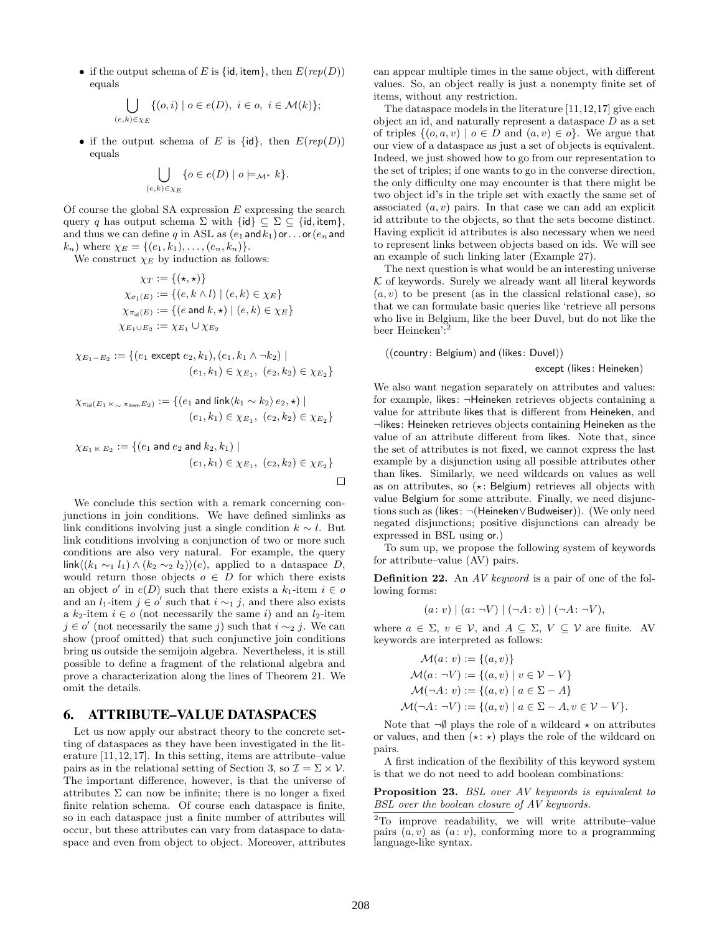• if the output schema of E is {id, item}, then  $E(rep(D))$ equals

$$
\bigcup_{(e,k)\in\chi_E} \{ (o,i)\mid o\in e(D),\ i\in o,\ i\in \mathcal{M}(k)\};
$$

• if the output schema of E is  $\{id\}$ , then  $E(rep(D))$ equals

$$
\bigcup_{(e,k)\in\chi_E} \{o\in e(D)\mid o\models_{\mathcal{M}^*}k\}.
$$

Of course the global SA expression  $E$  expressing the search query q has output schema  $\Sigma$  with  $\{id\} \subseteq \Sigma \subseteq \{id, item\},\$ and thus we can define q in ASL as  $(e_1 \text{ and } k_1)$  or... or  $(e_n \text{ and } k_2)$  $(k_n)$  where  $\chi_E = \{(e_1, k_1), \ldots, (e_n, k_n)\}.$ 

We construct  $\chi_E$  by induction as follows:

$$
\chi_T := \{(\star, \star)\}
$$
  
\n
$$
\chi_{\sigma_l(E)} := \{(e, k \wedge l) \mid (e, k) \in \chi_E\}
$$
  
\n
$$
\chi_{\pi_{\text{id}}(E)} := \{(e \text{ and } k, \star) \mid (e, k) \in \chi_E\}
$$
  
\n
$$
\chi_{E_1 \cup E_2} := \chi_{E_1} \cup \chi_{E_2}
$$

$$
\chi_{E_1-E_2} := \{ (e_1 \text{ except } e_2, k_1), (e_1, k_1 \wedge \neg k_2) \mid
$$
  

$$
(e_1, k_1) \in \chi_{E_1}, (e_2, k_2) \in \chi_{E_2} \}
$$

$$
\chi_{\pi_{\mathsf{id}}(E_1 \ltimes_{\sim} \pi_{\mathsf{item}} E_2)} := \{ (e_1 \text{ and } \mathsf{link}\langle k_1 \sim k_2 \rangle e_2, \star) \mid (e_1, k_1) \in \chi_{E_1}, \ (e_2, k_2) \in \chi_{E_2} \}
$$

$$
\chi_{E_1 \ltimes E_2} := \{ (e_1 \text{ and } e_2 \text{ and } k_2, k_1) \mid
$$
  

$$
(e_1, k_1) \in \chi_{E_1}, \ (e_2, k_2) \in \chi_{E_2} \}
$$

We conclude this section with a remark concerning conjunctions in join conditions. We have defined simlinks as link conditions involving just a single condition  $k \sim l$ . But link conditions involving a conjunction of two or more such conditions are also very natural. For example, the query link $\langle (k_1 \sim_1 l_1) \wedge (k_2 \sim_2 l_2) \rangle (e)$ , applied to a dataspace D, would return those objects  $o \in D$  for which there exists an object  $o'$  in  $e(D)$  such that there exists a  $k_1$ -item  $i \in o$ and an l<sub>1</sub>-item  $j \in o'$  such that  $i \sim_1 j$ , and there also exists a  $k_2$ -item  $i \in o$  (not necessarily the same i) and an *l*<sub>2</sub>-item  $j \in o'$  (not necessarily the same j) such that  $i \sim_2 j$ . We can show (proof omitted) that such conjunctive join conditions bring us outside the semijoin algebra. Nevertheless, it is still possible to define a fragment of the relational algebra and prove a characterization along the lines of Theorem 21. We omit the details.

### 6. ATTRIBUTE–VALUE DATASPACES

Let us now apply our abstract theory to the concrete setting of dataspaces as they have been investigated in the literature [11,12,17]. In this setting, items are attribute–value pairs as in the relational setting of Section 3, so  $\mathcal{I} = \Sigma \times \mathcal{V}$ . The important difference, however, is that the universe of attributes  $\Sigma$  can now be infinite; there is no longer a fixed finite relation schema. Of course each dataspace is finite, so in each dataspace just a finite number of attributes will occur, but these attributes can vary from dataspace to dataspace and even from object to object. Moreover, attributes

can appear multiple times in the same object, with different values. So, an object really is just a nonempty finite set of items, without any restriction.

The dataspace models in the literature [11,12,17] give each object an id, and naturally represent a dataspace  $D$  as a set of triples  $\{(o, a, v) \mid o \in D \text{ and } (a, v) \in o\}$ . We argue that our view of a dataspace as just a set of objects is equivalent. Indeed, we just showed how to go from our representation to the set of triples; if one wants to go in the converse direction, the only difficulty one may encounter is that there might be two object id's in the triple set with exactly the same set of associated  $(a, v)$  pairs. In that case we can add an explicit id attribute to the objects, so that the sets become distinct. Having explicit id attributes is also necessary when we need to represent links between objects based on ids. We will see an example of such linking later (Example 27).

The next question is what would be an interesting universe  $K$  of keywords. Surely we already want all literal keywords  $(a, v)$  to be present (as in the classical relational case), so that we can formulate basic queries like 'retrieve all persons who live in Belgium, like the beer Duvel, but do not like the beer Heineken':

((country : Belgium) and (likes: Duvel))

except (likes: Heineken)

We also want negation separately on attributes and values: for example, likes: ¬Heineken retrieves objects containing a value for attribute likes that is different from Heineken, and ¬likes: Heineken retrieves objects containing Heineken as the value of an attribute different from likes. Note that, since the set of attributes is not fixed, we cannot express the last example by a disjunction using all possible attributes other than likes. Similarly, we need wildcards on values as well as on attributes, so  $(\star:$  Belgium) retrieves all objects with value Belgium for some attribute. Finally, we need disjunctions such as (likes: ¬(Heineken∨Budweiser)). (We only need negated disjunctions; positive disjunctions can already be expressed in BSL using or.)

To sum up, we propose the following system of keywords for attribute–value (AV) pairs.

Definition 22. An AV keyword is a pair of one of the following forms:

 $(a: v) | (a: \neg V) | (\neg A: v) | (\neg A: \neg V),$ 

where  $a \in \Sigma$ ,  $v \in V$ , and  $A \subseteq \Sigma$ ,  $V \subseteq V$  are finite. AV keywords are interpreted as follows:

$$
\mathcal{M}(a: v) := \{(a, v)\}
$$
  
\n
$$
\mathcal{M}(a: \neg V) := \{(a, v) \mid v \in V - V\}
$$
  
\n
$$
\mathcal{M}(\neg A: v) := \{(a, v) \mid a \in \Sigma - A\}
$$
  
\n
$$
\mathcal{M}(\neg A: \neg V) := \{(a, v) \mid a \in \Sigma - A, v \in V - V\}.
$$

Note that  $\neg \emptyset$  plays the role of a wildcard  $\star$  on attributes or values, and then  $(\star : \star)$  plays the role of the wildcard on pairs.

A first indication of the flexibility of this keyword system is that we do not need to add boolean combinations:

Proposition 23. BSL over AV keywords is equivalent to BSL over the boolean closure of AV keywords.

<sup>2</sup>To improve readability, we will write attribute–value pairs  $(a, v)$  as  $(a : v)$ , conforming more to a programming language-like syntax.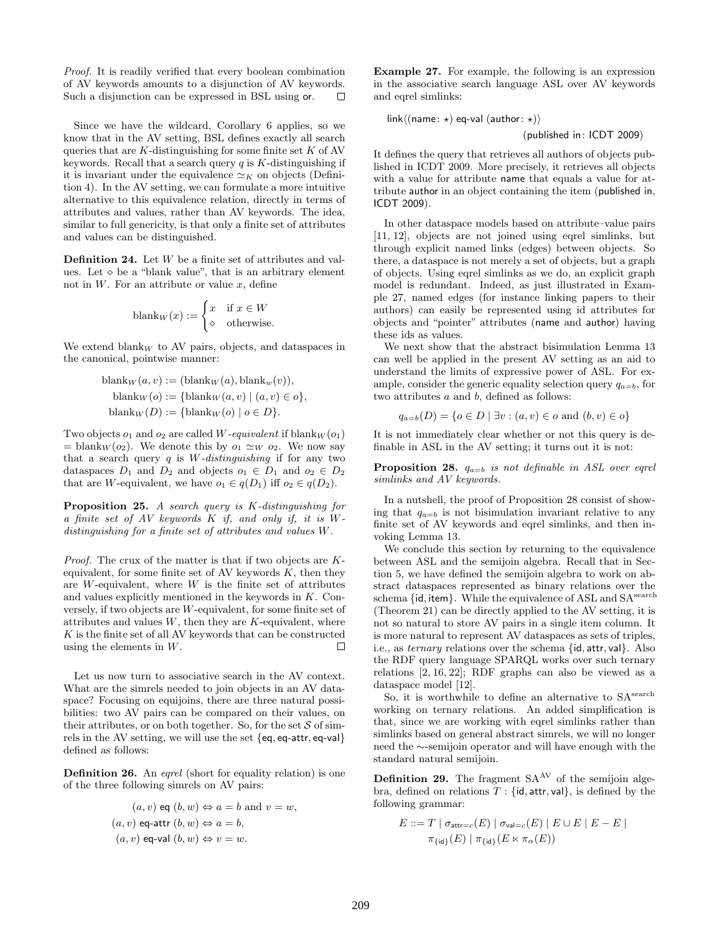Proof. It is readily verified that every boolean combination of AV keywords amounts to a disjunction of AV keywords. Such a disjunction can be expressed in BSL using or.  $\Box$ 

Since we have the wildcard, Corollary 6 applies, so we know that in the AV setting, BSL defines exactly all search queries that are  $K$ -distinguishing for some finite set  $K$  of AV keywords. Recall that a search query  $q$  is  $K$ -distinguishing if it is invariant under the equivalence  $\simeq_K$  on objects (Definition 4). In the AV setting, we can formulate a more intuitive alternative to this equivalence relation, directly in terms of attributes and values, rather than AV keywords. The idea, similar to full genericity, is that only a finite set of attributes and values can be distinguished.

**Definition 24.** Let  $W$  be a finite set of attributes and values. Let  $\diamond$  be a "blank value", that is an arbitrary element not in  $W$ . For an attribute or value  $x$ , define

$$
blank_W(x) := \begin{cases} x & \text{if } x \in W \\ \diamond & \text{otherwise.} \end{cases}
$$

We extend blank<sub>W</sub> to AV pairs, objects, and dataspaces in the canonical, pointwise manner:

$$
blank_W(a, v) := (blank_W(a), blank_w(v)),
$$
  
\n
$$
blank_W(o) := \{blank_W(a, v) \mid (a, v) \in o\},
$$
  
\n
$$
blank_W(D) := \{blank_W(o) \mid o \in D\}.
$$

Two objects  $o_1$  and  $o_2$  are called W-equivalent if blank $W$ ( $o_1$ )  $=$  blank<sub>W</sub> ( $o_2$ ). We denote this by  $o_1 \simeq_W o_2$ . We now say that a search query  $q$  is  $W$ -distinguishing if for any two dataspaces  $D_1$  and  $D_2$  and objects  $o_1 \in D_1$  and  $o_2 \in D_2$ that are W-equivalent, we have  $o_1 \in q(D_1)$  iff  $o_2 \in q(D_2)$ .

Proposition 25. A search query is K-distinguishing for a finite set of AV keywords K if, and only if, it is Wdistinguishing for a finite set of attributes and values W.

Proof. The crux of the matter is that if two objects are Kequivalent, for some finite set of AV keywords  $K$ , then they are  $W$ -equivalent, where  $W$  is the finite set of attributes and values explicitly mentioned in the keywords in K. Conversely, if two objects are W-equivalent, for some finite set of attributes and values  $W$ , then they are  $K$ -equivalent, where  $K$  is the finite set of all AV keywords that can be constructed using the elements in W.  $\Box$ 

Let us now turn to associative search in the AV context. What are the simrels needed to join objects in an AV dataspace? Focusing on equijoins, there are three natural possibilities: two AV pairs can be compared on their values, on their attributes, or on both together. So, for the set  $S$  of simrels in the AV setting, we will use the set {eq, eq-attr, eq-val} defined as follows:

Definition 26. An eqrel (short for equality relation) is one of the three following simrels on AV pairs:

$$
(a, v) \text{ eq } (b, w) \Leftrightarrow a = b \text{ and } v = w,
$$
  

$$
(a, v) \text{ eq-attr } (b, w) \Leftrightarrow a = b,
$$
  

$$
(a, v) \text{ eq-val } (b, w) \Leftrightarrow v = w.
$$

Example 27. For example, the following is an expression in the associative search language ASL over AV keywords and eqrel simlinks:

link $\langle$ (name:  $\star$ ) eq-val (author:  $\star$ ))

(published in: ICDT 2009)

It defines the query that retrieves all authors of objects published in ICDT 2009. More precisely, it retrieves all objects with a value for attribute name that equals a value for attribute author in an object containing the item (published in, ICDT 2009).

In other dataspace models based on attribute–value pairs [11, 12], objects are not joined using eqrel simlinks, but through explicit named links (edges) between objects. So there, a dataspace is not merely a set of objects, but a graph of objects. Using eqrel simlinks as we do, an explicit graph model is redundant. Indeed, as just illustrated in Example 27, named edges (for instance linking papers to their authors) can easily be represented using id attributes for objects and "pointer" attributes (name and author) having these ids as values.

We next show that the abstract bisimulation Lemma 13 can well be applied in the present AV setting as an aid to understand the limits of expressive power of ASL. For example, consider the generic equality selection query  $q_{a=b}$ , for two attributes a and b, defined as follows:

$$
q_{a=b}(D) = \{o \in D \mid \exists v : (a, v) \in o \text{ and } (b, v) \in o\}
$$

It is not immediately clear whether or not this query is definable in ASL in the AV setting; it turns out it is not:

**Proposition 28.**  $q_{a=b}$  is not definable in ASL over eqrel simlinks and AV keywords.

In a nutshell, the proof of Proposition 28 consist of showing that  $q_{a=b}$  is not bisimulation invariant relative to any finite set of AV keywords and eqrel simlinks, and then invoking Lemma 13.

We conclude this section by returning to the equivalence between ASL and the semijoin algebra. Recall that in Section 5, we have defined the semijoin algebra to work on abstract dataspaces represented as binary relations over the schema  $\{id, item\}$ . While the equivalence of ASL and  $SA^{search}$ (Theorem 21) can be directly applied to the AV setting, it is not so natural to store AV pairs in a single item column. It is more natural to represent AV dataspaces as sets of triples, i.e., as ternary relations over the schema {id, attr, val}. Also the RDF query language SPARQL works over such ternary relations [2, 16, 22]; RDF graphs can also be viewed as a dataspace model [12].

So, it is worthwhile to define an alternative to  $SA^{search}$ working on ternary relations. An added simplification is that, since we are working with eqrel simlinks rather than simlinks based on general abstract simrels, we will no longer need the ∼-semijoin operator and will have enough with the standard natural semijoin.

**Definition 29.** The fragment  $SA^{AV}$  of the semijoin algebra, defined on relations  $T : \{id, attr, val\}$ , is defined by the following grammar:

$$
E ::= T | \sigma_{\text{attr}=c}(E) | \sigma_{\text{val}=c}(E) | E \cup E | E - E |
$$
  

$$
\pi_{\{\text{id}\}}(E) | \pi_{\{\text{id}\}}(E \ltimes \pi_{\alpha}(E))
$$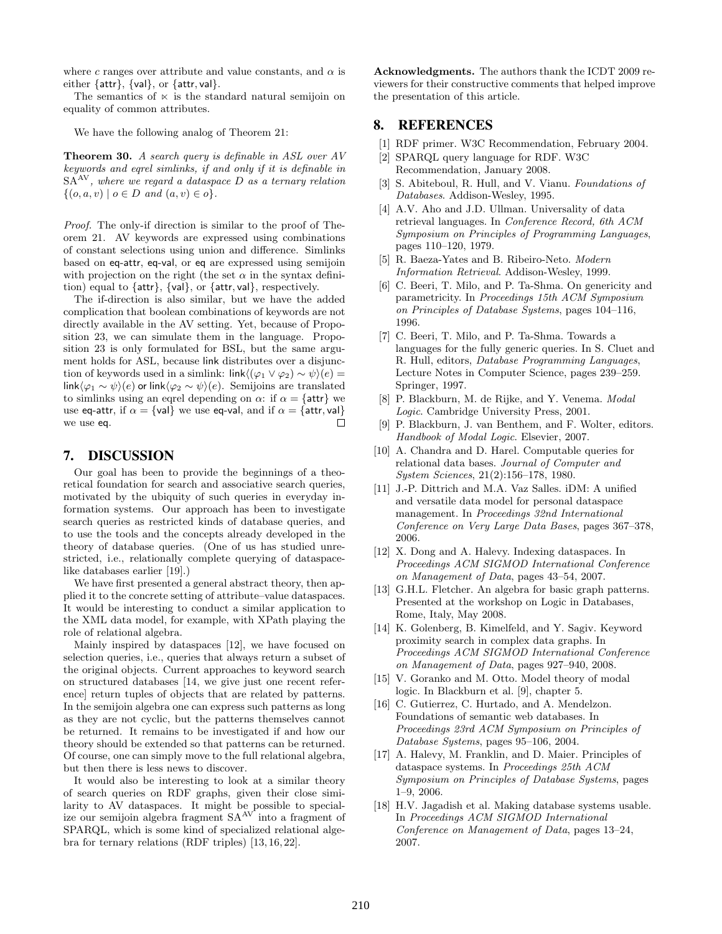where c ranges over attribute and value constants, and  $\alpha$  is either {attr}, {val}, or {attr, val}.

The semantics of  $\ltimes$  is the standard natural semijoin on equality of common attributes.

We have the following analog of Theorem 21:

Theorem 30. A search query is definable in ASL over AV keywords and eqrel simlinks, if and only if it is definable in  $SA^{AV}$ , where we regard a dataspace D as a ternary relation  $S<sup>N</sup>$ , where we regard a dataspace D as a ternary relation  $\{(o, a, v) \mid o \in D \text{ and } (a, v) \in o\}.$ 

Proof. The only-if direction is similar to the proof of Theorem 21. AV keywords are expressed using combinations of constant selections using union and difference. Simlinks based on eq-attr, eq-val, or eq are expressed using semijoin with projection on the right (the set  $\alpha$  in the syntax definition) equal to {attr}, {val}, or {attr, val}, respectively.

The if-direction is also similar, but we have the added complication that boolean combinations of keywords are not directly available in the AV setting. Yet, because of Proposition 23, we can simulate them in the language. Proposition 23 is only formulated for BSL, but the same argument holds for ASL, because link distributes over a disjunction of keywords used in a simlink: link $\langle (\varphi_1 \vee \varphi_2) \sim \psi \rangle(e) =$ link $\langle \varphi_1 \sim \psi \rangle$ (e) or link $\langle \varphi_2 \sim \psi \rangle$ (e). Semijoins are translated to simlinks using an eqrel depending on  $\alpha$ : if  $\alpha = \{ \text{attr} \}$  we use eq-attr, if  $\alpha = \{val\}$  we use eq-val, and if  $\alpha = \{attr, val\}$ we use eq. П

#### 7. DISCUSSION

Our goal has been to provide the beginnings of a theoretical foundation for search and associative search queries, motivated by the ubiquity of such queries in everyday information systems. Our approach has been to investigate search queries as restricted kinds of database queries, and to use the tools and the concepts already developed in the theory of database queries. (One of us has studied unrestricted, i.e., relationally complete querying of dataspacelike databases earlier [19].)

We have first presented a general abstract theory, then applied it to the concrete setting of attribute–value dataspaces. It would be interesting to conduct a similar application to the XML data model, for example, with XPath playing the role of relational algebra.

Mainly inspired by dataspaces [12], we have focused on selection queries, i.e., queries that always return a subset of the original objects. Current approaches to keyword search on structured databases [14, we give just one recent reference] return tuples of objects that are related by patterns. In the semijoin algebra one can express such patterns as long as they are not cyclic, but the patterns themselves cannot be returned. It remains to be investigated if and how our theory should be extended so that patterns can be returned. Of course, one can simply move to the full relational algebra, but then there is less news to discover.

It would also be interesting to look at a similar theory of search queries on RDF graphs, given their close similarity to AV dataspaces. It might be possible to specialize our semijoin algebra fragment SAAV into a fragment of SPARQL, which is some kind of specialized relational algebra for ternary relations (RDF triples) [13, 16, 22].

Acknowledgments. The authors thank the ICDT 2009 reviewers for their constructive comments that helped improve the presentation of this article.

#### 8. REFERENCES

- [1] RDF primer. W3C Recommendation, February 2004.
- [2] SPARQL query language for RDF. W3C Recommendation, January 2008.
- [3] S. Abiteboul, R. Hull, and V. Vianu. Foundations of Databases. Addison-Wesley, 1995.
- [4] A.V. Aho and J.D. Ullman. Universality of data retrieval languages. In Conference Record, 6th ACM Symposium on Principles of Programming Languages, pages 110–120, 1979.
- [5] R. Baeza-Yates and B. Ribeiro-Neto. Modern Information Retrieval. Addison-Wesley, 1999.
- [6] C. Beeri, T. Milo, and P. Ta-Shma. On genericity and parametricity. In Proceedings 15th ACM Symposium on Principles of Database Systems, pages 104–116, 1996.
- [7] C. Beeri, T. Milo, and P. Ta-Shma. Towards a languages for the fully generic queries. In S. Cluet and R. Hull, editors, Database Programming Languages, Lecture Notes in Computer Science, pages 239–259. Springer, 1997.
- [8] P. Blackburn, M. de Rijke, and Y. Venema. Modal Logic. Cambridge University Press, 2001.
- [9] P. Blackburn, J. van Benthem, and F. Wolter, editors. Handbook of Modal Logic. Elsevier, 2007.
- [10] A. Chandra and D. Harel. Computable queries for relational data bases. Journal of Computer and System Sciences, 21(2):156–178, 1980.
- [11] J.-P. Dittrich and M.A. Vaz Salles. iDM: A unified and versatile data model for personal dataspace management. In Proceedings 32nd International Conference on Very Large Data Bases, pages 367–378, 2006.
- [12] X. Dong and A. Halevy. Indexing dataspaces. In Proceedings ACM SIGMOD International Conference on Management of Data, pages 43–54, 2007.
- [13] G.H.L. Fletcher. An algebra for basic graph patterns. Presented at the workshop on Logic in Databases, Rome, Italy, May 2008.
- [14] K. Golenberg, B. Kimelfeld, and Y. Sagiv. Keyword proximity search in complex data graphs. In Proceedings ACM SIGMOD International Conference on Management of Data, pages 927–940, 2008.
- [15] V. Goranko and M. Otto. Model theory of modal logic. In Blackburn et al. [9], chapter 5.
- [16] C. Gutierrez, C. Hurtado, and A. Mendelzon. Foundations of semantic web databases. In Proceedings 23rd ACM Symposium on Principles of Database Systems, pages 95–106, 2004.
- [17] A. Halevy, M. Franklin, and D. Maier. Principles of dataspace systems. In Proceedings 25th ACM Symposium on Principles of Database Systems, pages 1–9, 2006.
- [18] H.V. Jagadish et al. Making database systems usable. In Proceedings ACM SIGMOD International Conference on Management of Data, pages 13–24, 2007.